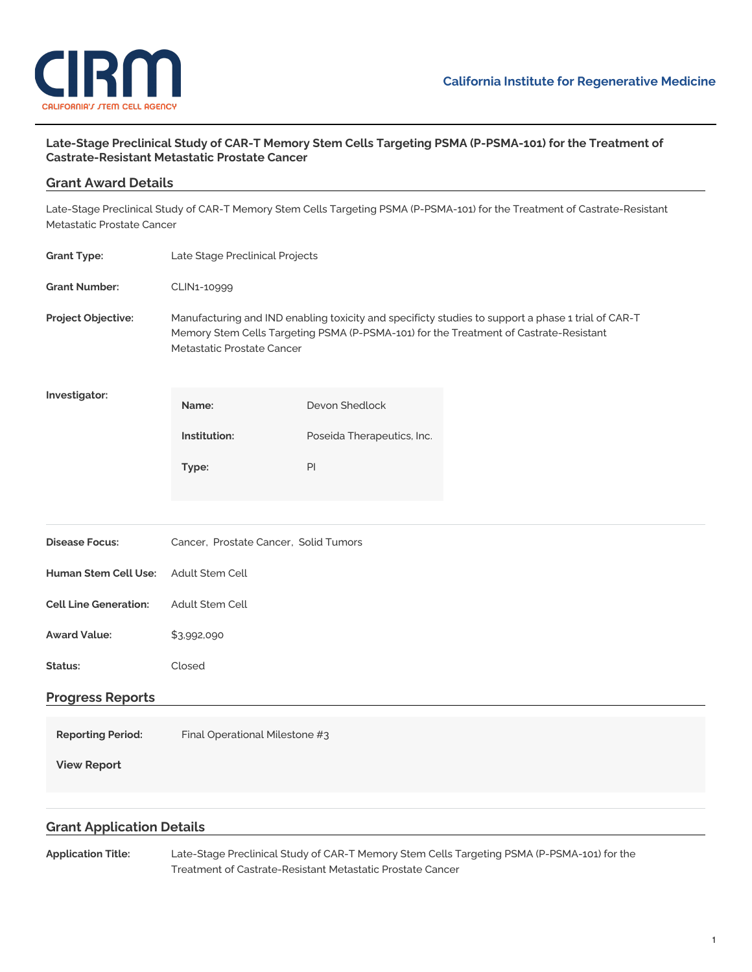

### **Late-Stage Preclinical Study of CAR-T Memory Stem Cells Targeting PSMA (P-PSMA-101) for the Treatment of Castrate-Resistant Metastatic Prostate Cancer**

# **Grant Award Details** Late-Stage Preclinical Study of CAR-T Memory Stem Cells Targeting PSMA (P-PSMA-101) for the Treatment of Castrate-Resistant Metastatic Prostate Cancer **Grant Type:** Late Stage [Preclinical](https://www.cirm.ca.gov/our-funding/research-rfas/late-stage-preclinical-projects) Projects **Grant Number:** CLIN1-10999

**Project Objective:** Manufacturing and IND enabling toxicity and specificty studies to support a phase 1 trial of CAR-T Memory Stem Cells Targeting PSMA (P-PSMA-101) for the Treatment of Castrate-Resistant Metastatic Prostate Cancer

**Investigator:**

| Name:        | Devon Shedlock             |
|--------------|----------------------------|
| Institution: | Poseida Therapeutics, Inc. |
| Type:        | ΡI                         |

| <b>Disease Focus:</b> | Cancer, Prostate Cancer, Solid Tumors |  |
|-----------------------|---------------------------------------|--|
|                       |                                       |  |

| <b>Human Stem Cell Use:</b>  | Adult Stem Cell |
|------------------------------|-----------------|
| <b>Cell Line Generation:</b> | Adult Stem Cell |

- **Award Value:** \$3,992,090
- **Status:** Closed

## **Progress Reports**

**Reporting Period:** Final Operational Milestone #3

**View [Report](https://www.cirm.ca.gov/our-progress/awards/late-stage-preclinical-study-car-t-memory-stem-cells-targeting-psma-p-psma-101#)**

## **Grant Application Details**

**Application Title:** Late-Stage Preclinical Study of CAR-T Memory Stem Cells Targeting PSMA (P-PSMA-101) for the Treatment of Castrate-Resistant Metastatic Prostate Cancer